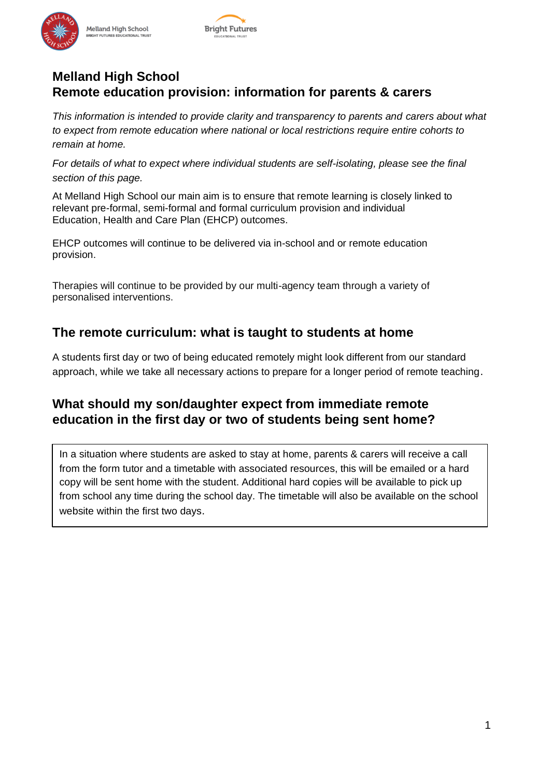



## **Melland High School Remote education provision: information for parents & carers**

*This information is intended to provide clarity and transparency to parents and carers about what to expect from remote education where national or local restrictions require entire cohorts to remain at home.* 

*For details of what to expect where individual students are self-isolating, please see the final section of this page.*

At Melland High School our main aim is to ensure that remote learning is closely linked to relevant pre-formal, semi-formal and formal curriculum provision and individual Education, Health and Care Plan (EHCP) outcomes.

EHCP outcomes will continue to be delivered via in-school and or remote education provision.

Therapies will continue to be provided by our multi-agency team through a variety of personalised interventions.

## **The remote curriculum: what is taught to students at home**

A students first day or two of being educated remotely might look different from our standard approach, while we take all necessary actions to prepare for a longer period of remote teaching.

## **What should my son/daughter expect from immediate remote education in the first day or two of students being sent home?**

In a situation where students are asked to stay at home, parents & carers will receive a call from the form tutor and a timetable with associated resources, this will be emailed or a hard copy will be sent home with the student. Additional hard copies will be available to pick up from school any time during the school day. The timetable will also be available on the school website within the first two days.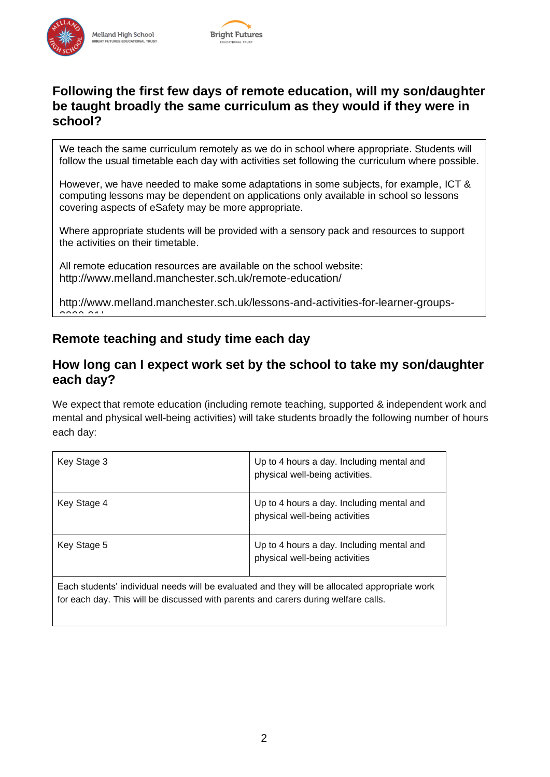



## **Following the first few days of remote education, will my son/daughter be taught broadly the same curriculum as they would if they were in school?**

We teach the same curriculum remotely as we do in school where appropriate. Students will follow the usual timetable each day with activities set following the curriculum where possible.

However, we have needed to make some adaptations in some subjects, for example, ICT & computing lessons may be dependent on applications only available in school so lessons covering aspects of eSafety may be more appropriate.

Where appropriate students will be provided with a sensory pack and resources to support the activities on their timetable.

All remote education resources are available on the school website: <http://www.melland.manchester.sch.uk/remote-education/>

[http://www.melland.manchester.sch.uk/lessons-and-activities-for-learner-groups-](http://www.melland.manchester.sch.uk/lessons-and-activities-for-learner-groups-2020-21/) $202221$ 

# **Remote teaching and study time each day**

#### **How long can I expect work set by the school to take my son/daughter each day?**

We expect that remote education (including remote teaching, supported & independent work and mental and physical well-being activities) will take students broadly the following number of hours each day:

| Key Stage 3                                                                                   | Up to 4 hours a day. Including mental and<br>physical well-being activities. |
|-----------------------------------------------------------------------------------------------|------------------------------------------------------------------------------|
| Key Stage 4                                                                                   | Up to 4 hours a day. Including mental and<br>physical well-being activities  |
| Key Stage 5                                                                                   | Up to 4 hours a day. Including mental and<br>physical well-being activities  |
| Each students' individual needs will be evaluated and they will be allocated appropriate work |                                                                              |

for each day. This will be discussed with parents and carers during welfare calls.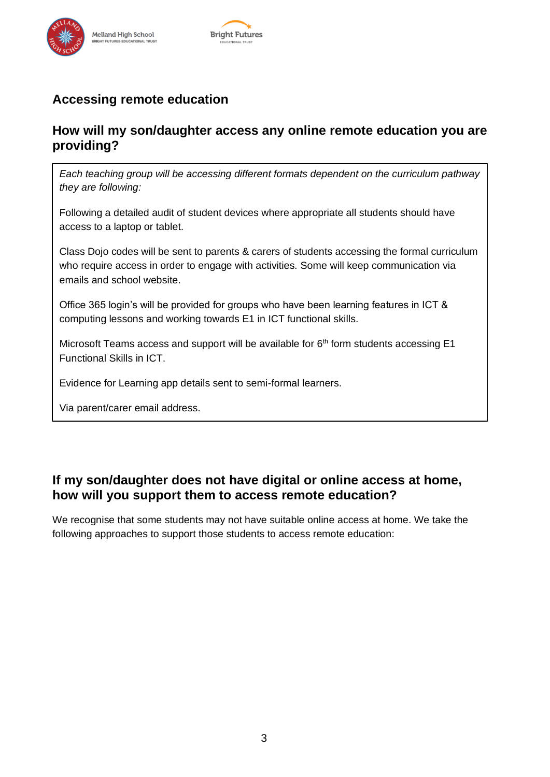

# **Accessing remote education**

## **How will my son/daughter access any online remote education you are providing?**

*Each teaching group will be accessing different formats dependent on the curriculum pathway they are following:*

Following a detailed audit of student devices where appropriate all students should have access to a laptop or tablet.

Class Dojo codes will be sent to parents & carers of students accessing the formal curriculum who require access in order to engage with activities. Some will keep communication via emails and school website.

Office 365 login's will be provided for groups who have been learning features in ICT & computing lessons and working towards E1 in ICT functional skills.

Microsoft Teams access and support will be available for  $6<sup>th</sup>$  form students accessing E1 Functional Skills in ICT.

Evidence for Learning app details sent to semi-formal learners.

Via parent/carer email address.

## **If my son/daughter does not have digital or online access at home, how will you support them to access remote education?**

We recognise that some students may not have suitable online access at home. We take the following approaches to support those students to access remote education: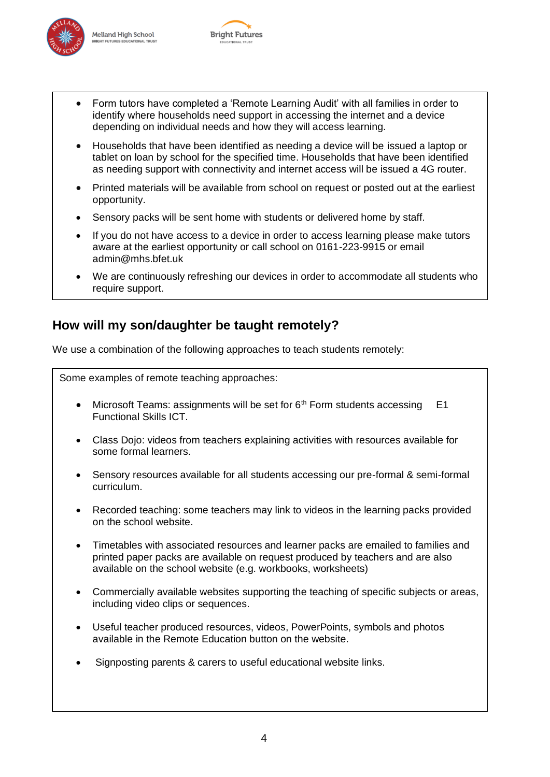



- Form tutors have completed a 'Remote Learning Audit' with all families in order to identify where households need support in accessing the internet and a device depending on individual needs and how they will access learning.
- Households that have been identified as needing a device will be issued a laptop or tablet on loan by school for the specified time. Households that have been identified as needing support with connectivity and internet access will be issued a 4G router.
- Printed materials will be available from school on request or posted out at the earliest opportunity.
- Sensory packs will be sent home with students or delivered home by staff.
- If you do not have access to a device in order to access learning please make tutors aware at the earliest opportunity or call school on 0161-223-9915 or email admin@mhs.bfet.uk
- We are continuously refreshing our devices in order to accommodate all students who require support.

## **How will my son/daughter be taught remotely?**

We use a combination of the following approaches to teach students remotely:

Some examples of remote teaching approaches:

- Microsoft Teams: assignments will be set for  $6<sup>th</sup>$  Form students accessing E1 Functional Skills ICT.
- Class Dojo: videos from teachers explaining activities with resources available for some formal learners.
- Sensory resources available for all students accessing our pre-formal & semi-formal curriculum.
- Recorded teaching: some teachers may link to videos in the learning packs provided on the school website.
- Timetables with associated resources and learner packs are emailed to families and printed paper packs are available on request produced by teachers and are also available on the school website (e.g. workbooks, worksheets)
- Commercially available websites supporting the teaching of specific subjects or areas, including video clips or sequences.
- Useful teacher produced resources, videos, PowerPoints, symbols and photos available in the Remote Education button on the website.
- Signposting parents & carers to useful educational website links.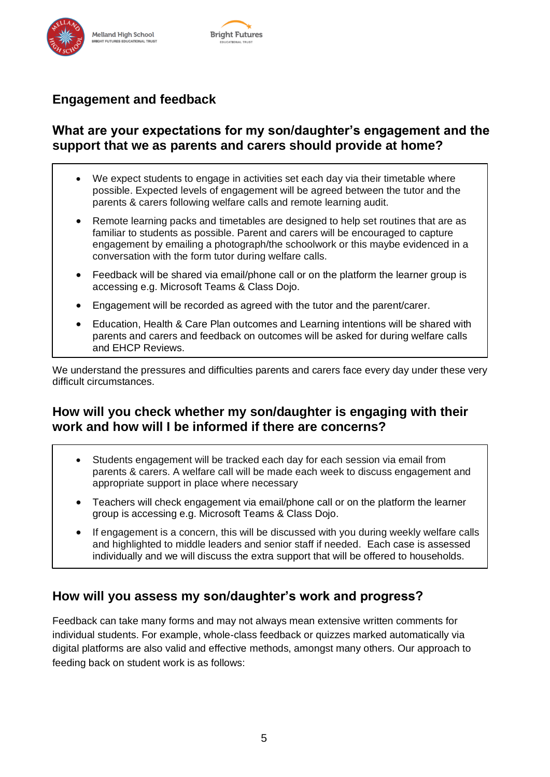

# **Engagement and feedback**

## **What are your expectations for my son/daughter's engagement and the support that we as parents and carers should provide at home?**

- We expect students to engage in activities set each day via their timetable where possible. Expected levels of engagement will be agreed between the tutor and the parents & carers following welfare calls and remote learning audit.
- Remote learning packs and timetables are designed to help set routines that are as familiar to students as possible. Parent and carers will be encouraged to capture engagement by emailing a photograph/the schoolwork or this maybe evidenced in a conversation with the form tutor during welfare calls.
- Feedback will be shared via email/phone call or on the platform the learner group is accessing e.g. Microsoft Teams & Class Dojo.
- Engagement will be recorded as agreed with the tutor and the parent/carer.
- Education, Health & Care Plan outcomes and Learning intentions will be shared with parents and carers and feedback on outcomes will be asked for during welfare calls and EHCP Reviews.

We understand the pressures and difficulties parents and carers face every day under these very difficult circumstances.

## **How will you check whether my son/daughter is engaging with their work and how will I be informed if there are concerns?**

- Students engagement will be tracked each day for each session via email from parents & carers. A welfare call will be made each week to discuss engagement and appropriate support in place where necessary
- Teachers will check engagement via email/phone call or on the platform the learner group is accessing e.g. Microsoft Teams & Class Dojo.
- If engagement is a concern, this will be discussed with you during weekly welfare calls and highlighted to middle leaders and senior staff if needed. Each case is assessed individually and we will discuss the extra support that will be offered to households.

# **How will you assess my son/daughter's work and progress?**

Feedback can take many forms and may not always mean extensive written comments for individual students. For example, whole-class feedback or quizzes marked automatically via digital platforms are also valid and effective methods, amongst many others. Our approach to feeding back on student work is as follows: